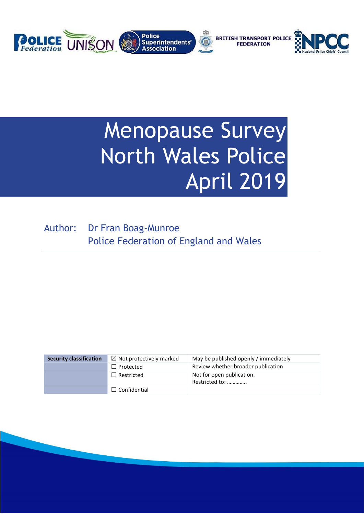

# **Menopause Survey** North Wales Police April 2019

Author: Dr Fran Boag-Munroe Police Federation of England and Wales

| <b>Security classification</b> | $\boxtimes$ Not protectively marked | May be published openly / immediately       |
|--------------------------------|-------------------------------------|---------------------------------------------|
|                                | $\Box$ Protected                    | Review whether broader publication          |
|                                | $\Box$ Restricted                   | Not for open publication.<br>Restricted to: |
|                                | $\Box$ Confidential                 |                                             |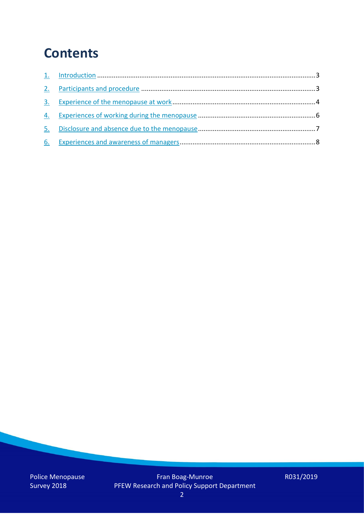## **Contents**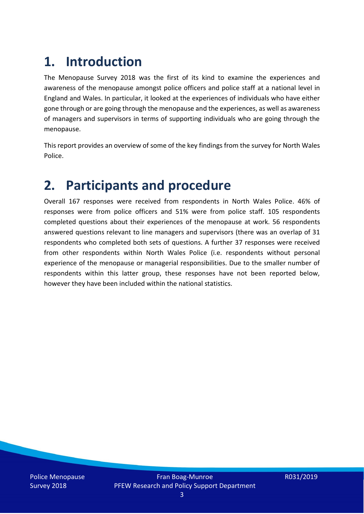# **1. Introduction**

The Menopause Survey 2018 was the first of its kind to examine the experiences and awareness of the menopause amongst police officers and police staff at a national level in England and Wales. In particular, it looked at the experiences of individuals who have either gone through or are going through the menopause and the experiences, as well as awareness of managers and supervisors in terms of supporting individuals who are going through the menopause.

This report provides an overview of some of the key findings from the survey for North Wales Police.

### **2. Participants and procedure**

Overall 167 responses were received from respondents in North Wales Police. 46% of responses were from police officers and 51% were from police staff. 105 respondents completed questions about their experiences of the menopause at work. 56 respondents answered questions relevant to line managers and supervisors (there was an overlap of 31 respondents who completed both sets of questions. A further 37 responses were received from other respondents within North Wales Police (i.e. respondents without personal experience of the menopause or managerial responsibilities. Due to the smaller number of respondents within this latter group, these responses have not been reported below, however they have been included within the national statistics.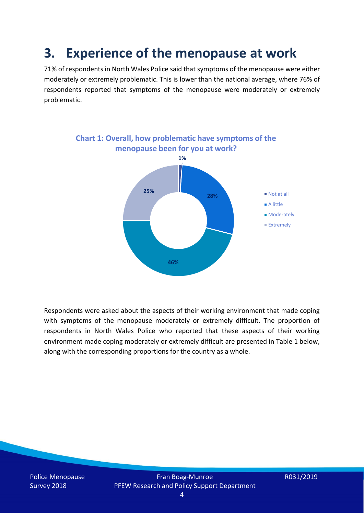### **3. Experience of the menopause at work**

71% of respondents in North Wales Police said that symptoms of the menopause were either moderately or extremely problematic. This is lower than the national average, where 76% of respondents reported that symptoms of the menopause were moderately or extremely problematic.



Respondents were asked about the aspects of their working environment that made coping with symptoms of the menopause moderately or extremely difficult. The proportion of respondents in North Wales Police who reported that these aspects of their working environment made coping moderately or extremely difficult are presented in Table 1 below, along with the corresponding proportions for the country as a whole.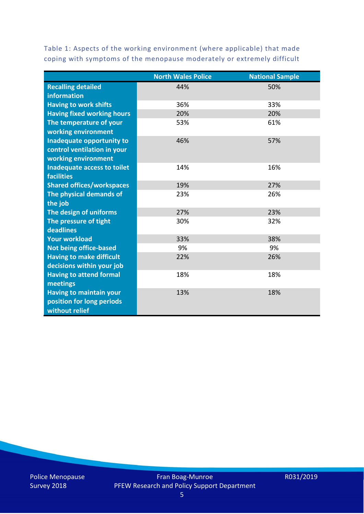Table 1: Aspects of the working environment (where applicable) that made coping with symptoms of the menopause moderately or extremely difficult

|                                   | <b>North Wales Police</b> | <b>National Sample</b> |
|-----------------------------------|---------------------------|------------------------|
| <b>Recalling detailed</b>         | 44%                       | 50%                    |
| information                       |                           |                        |
| <b>Having to work shifts</b>      | 36%                       | 33%                    |
| <b>Having fixed working hours</b> | 20%                       | 20%                    |
| The temperature of your           | 53%                       | 61%                    |
| working environment               |                           |                        |
| Inadequate opportunity to         | 46%                       | 57%                    |
| control ventilation in your       |                           |                        |
| working environment               |                           |                        |
| Inadequate access to toilet       | 14%                       | 16%                    |
| <b>facilities</b>                 |                           |                        |
| <b>Shared offices/workspaces</b>  | 19%                       | 27%                    |
| The physical demands of           | 23%                       | 26%                    |
| the job                           |                           |                        |
| The design of uniforms            | 27%                       | 23%                    |
| The pressure of tight             | 30%                       | 32%                    |
| deadlines                         |                           |                        |
| <b>Your workload</b>              | 33%                       | 38%                    |
| <b>Not being office-based</b>     | 9%                        | 9%                     |
| <b>Having to make difficult</b>   | 22%                       | 26%                    |
| decisions within your job         |                           |                        |
| <b>Having to attend formal</b>    | 18%                       | 18%                    |
| meetings                          |                           |                        |
| <b>Having to maintain your</b>    | 13%                       | 18%                    |
| position for long periods         |                           |                        |
| without relief                    |                           |                        |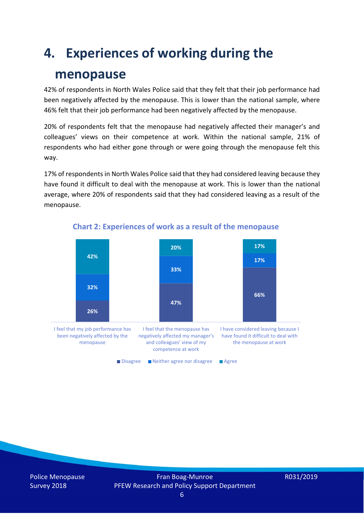## **4. Experiences of working during the**

### **menopause**

42% of respondents in North Wales Police said that they felt that their job performance had been negatively affected by the menopause. This is lower than the national sample, where 46% felt that their job performance had been negatively affected by the menopause.

20% of respondents felt that the menopause had negatively affected their manager's and colleagues' views on their competence at work. Within the national sample, 21% of respondents who had either gone through or were going through the menopause felt this way.

17% of respondents in North Wales Police said that they had considered leaving because they have found it difficult to deal with the menopause at work. This is lower than the national average, where 20% of respondents said that they had considered leaving as a result of the menopause.



#### **Chart 2: Experiences of work as a result of the menopause**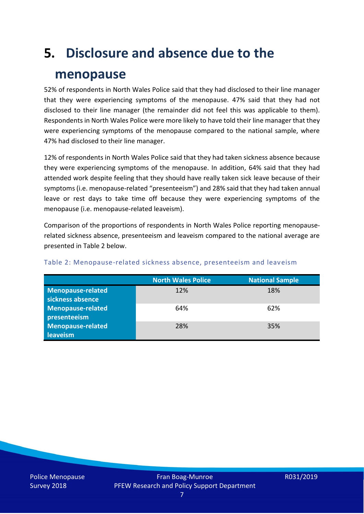## **5. Disclosure and absence due to the**

### **menopause**

52% of respondents in North Wales Police said that they had disclosed to their line manager that they were experiencing symptoms of the menopause. 47% said that they had not disclosed to their line manager (the remainder did not feel this was applicable to them). Respondents in North Wales Police were more likely to have told their line manager that they were experiencing symptoms of the menopause compared to the national sample, where 47% had disclosed to their line manager.

12% of respondents in North Wales Police said that they had taken sickness absence because they were experiencing symptoms of the menopause. In addition, 64% said that they had attended work despite feeling that they should have really taken sick leave because of their symptoms (i.e. menopause-related "presenteeism") and 28% said that they had taken annual leave or rest days to take time off because they were experiencing symptoms of the menopause (i.e. menopause-related leaveism).

Comparison of the proportions of respondents in North Wales Police reporting menopauserelated sickness absence, presenteeism and leaveism compared to the national average are presented in Table 2 below.

|                          | <b>North Wales Police</b> | <b>National Sample</b> |
|--------------------------|---------------------------|------------------------|
| Menopause-related        | 12%                       | 18%                    |
| sickness absence         |                           |                        |
| <b>Menopause-related</b> | 64%                       | 62%                    |
| presenteeism             |                           |                        |
| Menopause-related        | 28%                       | 35%                    |
| leaveism                 |                           |                        |

#### Table 2: Menopause-related sickness absence, presenteeism and leaveism